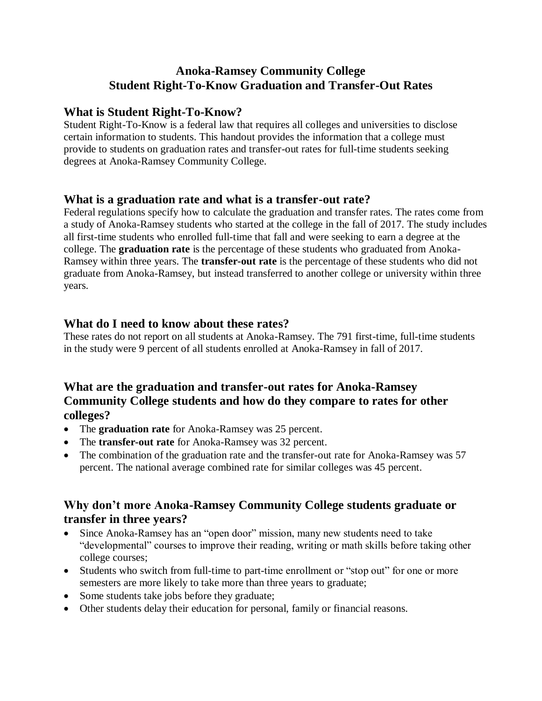# **Anoka-Ramsey Community College Student Right-To-Know Graduation and Transfer-Out Rates**

### **What is Student Right-To-Know?**

Student Right-To-Know is a federal law that requires all colleges and universities to disclose certain information to students. This handout provides the information that a college must provide to students on graduation rates and transfer-out rates for full-time students seeking degrees at Anoka-Ramsey Community College.

#### **What is a graduation rate and what is a transfer-out rate?**

Federal regulations specify how to calculate the graduation and transfer rates. The rates come from a study of Anoka-Ramsey students who started at the college in the fall of 2017. The study includes all first-time students who enrolled full-time that fall and were seeking to earn a degree at the college. The **graduation rate** is the percentage of these students who graduated from Anoka-Ramsey within three years. The **transfer-out rate** is the percentage of these students who did not graduate from Anoka-Ramsey, but instead transferred to another college or university within three years.

#### **What do I need to know about these rates?**

These rates do not report on all students at Anoka-Ramsey. The 791 first-time, full-time students in the study were 9 percent of all students enrolled at Anoka-Ramsey in fall of 2017.

## **What are the graduation and transfer-out rates for Anoka-Ramsey Community College students and how do they compare to rates for other colleges?**

- The **graduation rate** for Anoka-Ramsey was 25 percent.
- The **transfer-out rate** for Anoka-Ramsey was 32 percent.
- The combination of the graduation rate and the transfer-out rate for Anoka-Ramsey was 57 percent. The national average combined rate for similar colleges was 45 percent.

## **Why don't more Anoka-Ramsey Community College students graduate or transfer in three years?**

- Since Anoka-Ramsey has an "open door" mission, many new students need to take "developmental" courses to improve their reading, writing or math skills before taking other college courses;
- Students who switch from full-time to part-time enrollment or "stop out" for one or more semesters are more likely to take more than three years to graduate;
- Some students take jobs before they graduate;
- Other students delay their education for personal, family or financial reasons.